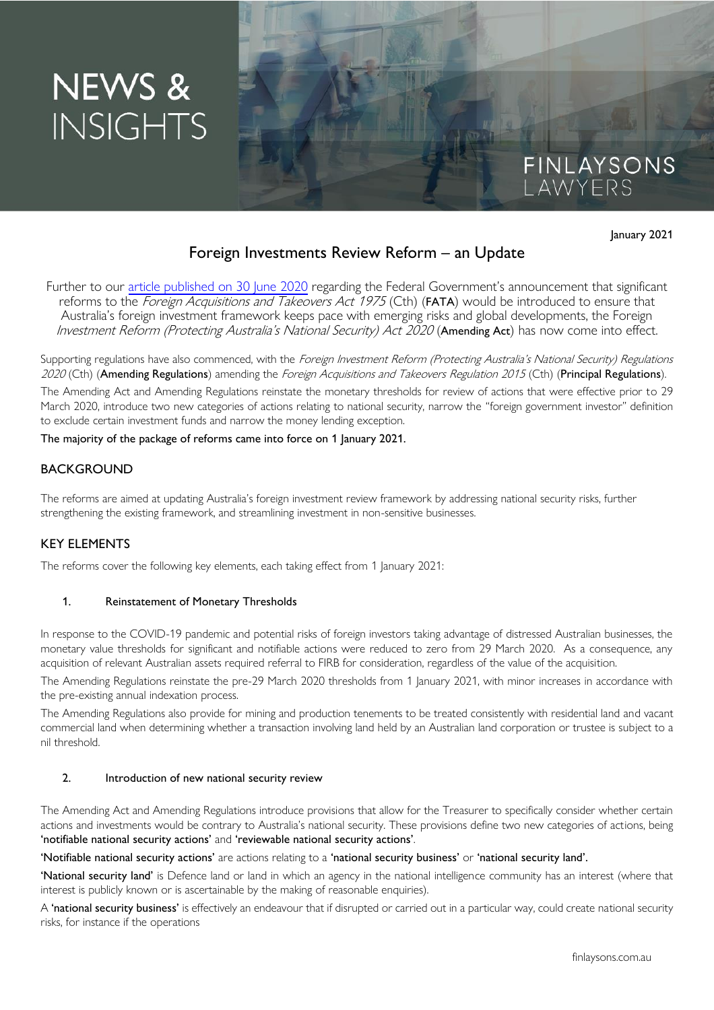# NEWS & **INSIGHTS**

January 2021

FINLAYSONS<br>LAWYERS

# Foreign Investments Review Reform – an Update

Further to our [article published on 30 June 2020](https://www.finlaysons.com.au/2020/06/firb-regime-to-undergo-significant-reform/) regarding the Federal Government's announcement that significant reforms to the *Foreign Acquisitions and Takeovers Act 1975* (Cth) (FATA) would be introduced to ensure that Australia's foreign investment framework keeps pace with emerging risks and global developments, the Foreign Investment Reform (Protecting Australia's National Security) Act 2020 (Amending Act) has now come into effect.

Supporting regulations have also commenced, with the Foreign Investment Reform (Protecting Australia's National Security) Regulations 2020 (Cth) (Amending Regulations) amending the Foreign Acquisitions and Takeovers Regulation 2015 (Cth) (Principal Regulations).

The Amending Act and Amending Regulations reinstate the monetary thresholds for review of actions that were effective prior to 29 March 2020, introduce two new categories of actions relating to national security, narrow the "foreign government investor" definition to exclude certain investment funds and narrow the money lending exception.

The majority of the package of reforms came into force on 1 January 2021.

# BACKGROUND

The reforms are aimed at updating Australia's foreign investment review framework by addressing national security risks, further strengthening the existing framework, and streamlining investment in non-sensitive businesses.

# KEY ELEMENTS

The reforms cover the following key elements, each taking effect from 1 January 2021:

#### 1. Reinstatement of Monetary Thresholds

In response to the COVID-19 pandemic and potential risks of foreign investors taking advantage of distressed Australian businesses, the monetary value thresholds for significant and notifiable actions were reduced to zero from 29 March 2020. As a consequence, any acquisition of relevant Australian assets required referral to FIRB for consideration, regardless of the value of the acquisition.

The Amending Regulations reinstate the pre-29 March 2020 thresholds from 1 January 2021, with minor increases in accordance with the pre-existing annual indexation process.

The Amending Regulations also provide for mining and production tenements to be treated consistently with residential land and vacant commercial land when determining whether a transaction involving land held by an Australian land corporation or trustee is subject to a nil threshold.

#### 2. Introduction of new national security review

The Amending Act and Amending Regulations introduce provisions that allow for the Treasurer to specifically consider whether certain actions and investments would be contrary to Australia's national security. These provisions define two new categories of actions, being 'notifiable national security actions' and 'reviewable national security actions'.

#### 'Notifiable national security actions' are actions relating to a 'national security business' or 'national security land'.

'National security land' is Defence land or land in which an agency in the national intelligence community has an interest (where that interest is publicly known or is ascertainable by the making of reasonable enquiries).

A 'national security business' is effectively an endeavour that if disrupted or carried out in a particular way, could create national security risks, for instance if the operations